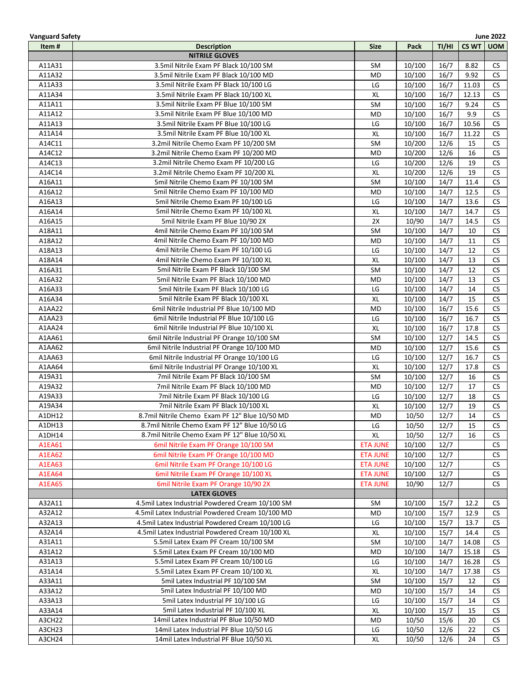| <b>Vanguard Safety</b> |                                                  |                 |        |       |        | <b>June 2022</b> |
|------------------------|--------------------------------------------------|-----------------|--------|-------|--------|------------------|
| Item#                  | <b>Description</b>                               | <b>Size</b>     | Pack   | TI/HI | CS WT  | <b>UOM</b>       |
|                        | <b>NITRILE GLOVES</b>                            |                 |        |       |        |                  |
| A11A31                 | 3.5mil Nitrile Exam PF Black 10/100 SM           | <b>SM</b>       | 10/100 | 16/7  | 8.82   | CS               |
| A11A32                 | 3.5mil Nitrile Exam PF Black 10/100 MD           | MD              | 10/100 | 16/7  | 9.92   | CS               |
| A11A33                 | 3.5mil Nitrile Exam PF Black 10/100 LG           | LG              | 10/100 | 16/7  | 11.03  | CS               |
| A11A34                 | 3.5mil Nitrile Exam PF Black 10/100 XL           | XL              | 10/100 | 16/7  | 12.13  | CS               |
| A11A11                 | 3.5mil Nitrile Exam PF Blue 10/100 SM            | <b>SM</b>       | 10/100 | 16/7  | 9.24   | CS               |
| A11A12                 | 3.5mil Nitrile Exam PF Blue 10/100 MD            | MD              | 10/100 | 16/7  | 9.9    | CS               |
| A11A13                 | 3.5mil Nitrile Exam PF Blue 10/100 LG            | LG              | 10/100 | 16/7  | 10.56  | CS               |
| A11A14                 | 3.5mil Nitrile Exam PF Blue 10/100 XL            | XL              | 10/100 | 16/7  | 11.22  | <b>CS</b>        |
| A14C11                 | 3.2mil Nitrile Chemo Exam PF 10/200 SM           | SM              | 10/200 | 12/6  | 15     | <b>CS</b>        |
| A14C12                 | 3.2mil Nitrile Chemo Exam PF 10/200 MD           | MD              | 10/200 | 12/6  | 16     | <b>CS</b>        |
| A14C13                 | 3.2mil Nitrile Chemo Exam PF 10/200 LG           | LG              | 10/200 | 12/6  | 19     | <b>CS</b>        |
|                        | 3.2mil Nitrile Chemo Exam PF 10/200 XL           |                 |        |       | 19     |                  |
| A14C14                 |                                                  | XL              | 10/200 | 12/6  |        | CS               |
| A16A11                 | 5mil Nitrile Chemo Exam PF 10/100 SM             | <b>SM</b>       | 10/100 | 14/7  | 11.4   | <b>CS</b>        |
| A16A12                 | 5mil Nitrile Chemo Exam PF 10/100 MD             | <b>MD</b>       | 10/100 | 14/7  | 12.5   | <b>CS</b>        |
| A16A13                 | 5mil Nitrile Chemo Exam PF 10/100 LG             | LG              | 10/100 | 14/7  | 13.6   | CS               |
| A16A14                 | 5mil Nitrile Chemo Exam PF 10/100 XL             | XL              | 10/100 | 14/7  | 14.7   | CS               |
| A16A15                 | 5mil Nitrile Exam PF Blue 10/90 2X               | 2X              | 10/90  | 14/7  | 14.5   | <b>CS</b>        |
| A18A11                 | 4mil Nitrile Chemo Exam PF 10/100 SM             | SM              | 10/100 | 14/7  | 10     | CS               |
| A18A12                 | 4mil Nitrile Chemo Exam PF 10/100 MD             | MD              | 10/100 | 14/7  | $11\,$ | CS               |
| A18A13                 | 4mil Nitrile Chemo Exam PF 10/100 LG             | LG              | 10/100 | 14/7  | 12     | CS               |
| A18A14                 | 4mil Nitrile Chemo Exam PF 10/100 XL             | XL              | 10/100 | 14/7  | 13     | CS               |
| A16A31                 | 5mil Nitrile Exam PF Black 10/100 SM             | <b>SM</b>       | 10/100 | 14/7  | 12     | CS               |
| A16A32                 | 5mil Nitrile Exam PF Black 10/100 MD             | <b>MD</b>       | 10/100 | 14/7  | 13     | CS               |
| A16A33                 | 5mil Nitrile Exam PF Black 10/100 LG             | LG              | 10/100 | 14/7  | 14     | CS               |
| A16A34                 | 5mil Nitrile Exam PF Black 10/100 XL             | XL              | 10/100 | 14/7  | 15     | CS               |
| A1AA22                 | 6mil Nitrile Industrial PF Blue 10/100 MD        | MD              | 10/100 | 16/7  | 15.6   | CS               |
| A1AA23                 | 6mil Nitrile Industrial PF Blue 10/100 LG        | LG              | 10/100 | 16/7  | 16.7   | <b>CS</b>        |
| A1AA24                 | 6mil Nitrile Industrial PF Blue 10/100 XL        | XL              | 10/100 | 16/7  | 17.8   | <b>CS</b>        |
| A1AA61                 | 6mil Nitrile Industrial PF Orange 10/100 SM      | SM              | 10/100 | 12/7  | 14.5   | <b>CS</b>        |
| A1AA62                 | 6mil Nitrile Industrial PF Orange 10/100 MD      | <b>MD</b>       | 10/100 | 12/7  | 15.6   | <b>CS</b>        |
| A1AA63                 | 6mil Nitrile Industrial PF Orange 10/100 LG      | LG              | 10/100 | 12/7  | 16.7   | <b>CS</b>        |
| A1AA64                 | 6mil Nitrile Industrial PF Orange 10/100 XL      | XL              | 10/100 | 12/7  | 17.8   | CS               |
| A19A31                 | 7mil Nitrile Exam PF Black 10/100 SM             | <b>SM</b>       | 10/100 | 12/7  | 16     | <b>CS</b>        |
| A19A32                 | 7mil Nitrile Exam PF Black 10/100 MD             | MD              | 10/100 | 12/7  | 17     | <b>CS</b>        |
| A19A33                 | 7mil Nitrile Exam PF Black 10/100 LG             | LG              | 10/100 | 12/7  | 18     | <b>CS</b>        |
| A19A34                 | 7mil Nitrile Exam PF Black 10/100 XL             | XL              | 10/100 | 12/7  | 19     | CS               |
| A1DH12                 | 8.7mil Nitrile Chemo Exam PF 12" Blue 10/50 MD   | MD              | 10/50  | 12/7  | 14     | <b>CS</b>        |
| A1DH13                 | 8.7mil Nitrile Chemo Exam PF 12" Blue 10/50 LG   | LG              | 10/50  | 12/7  | 15     | <b>CS</b>        |
| A1DH14                 | 8.7mil Nitrile Chemo Exam PF 12" Blue 10/50 XL   | XL              | 10/50  | 12/7  | 16     | CS               |
| A1EA61                 | 6mil Nitrile Exam PF Orange 10/100 SM            | <b>ETA JUNE</b> | 10/100 | 12/7  |        | <b>CS</b>        |
| A1EA62                 | 6mil Nitrile Exam PF Orange 10/100 MD            | <b>ETA JUNE</b> | 10/100 | 12/7  |        | CS               |
| A1EA63                 | 6mil Nitrile Exam PF Orange 10/100 LG            | <b>ETA JUNE</b> | 10/100 | 12/7  |        | <b>CS</b>        |
|                        | 6mil Nitrile Exam PF Orange 10/100 XL            |                 |        |       |        | <b>CS</b>        |
| A1EA64                 |                                                  | <b>ETA JUNE</b> | 10/100 | 12/7  |        |                  |
| <b>A1EA65</b>          | 6mil Nitrile Exam PF Orange 10/90 2X             | <b>ETA JUNE</b> | 10/90  | 12/7  |        | <b>CS</b>        |
|                        | <b>LATEX GLOVES</b>                              |                 |        |       |        |                  |
| A32A11                 | 4.5mil Latex Industrial Powdered Cream 10/100 SM | SM              | 10/100 | 15/7  | 12.2   | CS               |
| A32A12                 | 4.5mil Latex Industrial Powdered Cream 10/100 MD | MD              | 10/100 | 15/7  | 12.9   | <b>CS</b>        |
| A32A13                 | 4.5mil Latex Industrial Powdered Cream 10/100 LG | LG              | 10/100 | 15/7  | 13.7   | <b>CS</b>        |
| A32A14                 | 4.5mil Latex Industrial Powdered Cream 10/100 XL | XL              | 10/100 | 15/7  | 14.4   | CS               |
| A31A11                 | 5.5mil Latex Exam PF Cream 10/100 SM             | SM              | 10/100 | 14/7  | 14.08  | CS               |
| A31A12                 | 5.5mil Latex Exam PF Cream 10/100 MD             | MD              | 10/100 | 14/7  | 15.18  | <b>CS</b>        |
| A31A13                 | 5.5mil Latex Exam PF Cream 10/100 LG             | LG              | 10/100 | 14/7  | 16.28  | CS               |
| A31A14                 | 5.5mil Latex Exam PF Cream 10/100 XL             | XL              | 10/100 | 14/7  | 17.38  | CS               |
| A33A11                 | 5mil Latex Industrial PF 10/100 SM               | SM              | 10/100 | 15/7  | 12     | <b>CS</b>        |
| A33A12                 | 5mil Latex Industrial PF 10/100 MD               | MD              | 10/100 | 15/7  | 14     | <b>CS</b>        |
| A33A13                 | 5mil Latex Industrial PF 10/100 LG               | LG              | 10/100 | 15/7  | 14     | <b>CS</b>        |
| A33A14                 | 5mil Latex Industrial PF 10/100 XL               | XL              | 10/100 | 15/7  | 15     | <b>CS</b>        |
| A3CH22                 | 14mil Latex Industrial PF Blue 10/50 MD          | MD              | 10/50  | 15/6  | 20     | <b>CS</b>        |
| A3CH23                 | 14mil Latex Industrial PF Blue 10/50 LG          | LG              | 10/50  | 12/6  | 22     | <b>CS</b>        |
| A3CH24                 | 14mil Latex Industrial PF Blue 10/50 XL          | XL              | 10/50  | 12/6  | 24     | CS.              |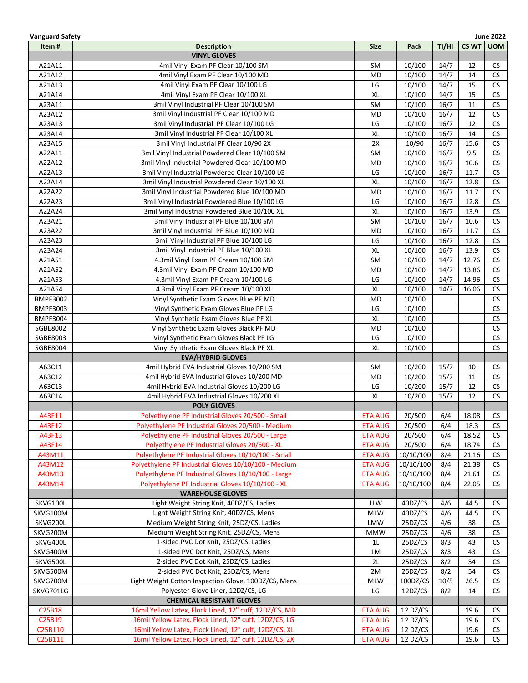| <b>Vanguard Safety</b> |                                                        |                |           |       |              | <b>June 2022</b> |
|------------------------|--------------------------------------------------------|----------------|-----------|-------|--------------|------------------|
| Item#                  | <b>Description</b>                                     | <b>Size</b>    | Pack      | TI/HI | <b>CS WT</b> | <b>UOM</b>       |
|                        | <b>VINYL GLOVES</b>                                    |                |           |       |              |                  |
| A21A11                 | 4mil Vinyl Exam PF Clear 10/100 SM                     | SM             | 10/100    | 14/7  | 12           | <b>CS</b>        |
| A21A12                 | 4mil Vinyl Exam PF Clear 10/100 MD                     | <b>MD</b>      | 10/100    | 14/7  | 14           | <b>CS</b>        |
| A21A13                 | 4mil Vinyl Exam PF Clear 10/100 LG                     | LG             | 10/100    | 14/7  | 15           | <b>CS</b>        |
| A21A14                 | 4mil Vinyl Exam PF Clear 10/100 XL                     | XL             | 10/100    | 14/7  | 15           | <b>CS</b>        |
| A23A11                 | 3mil Vinyl Industrial PF Clear 10/100 SM               | <b>SM</b>      | 10/100    | 16/7  | 11           | CS               |
| A23A12                 | 3mil Vinyl Industrial PF Clear 10/100 MD               | <b>MD</b>      | 10/100    | 16/7  | 12           | CS               |
| A23A13                 | 3mil Vinyl Industrial PF Clear 10/100 LG               | LG             | 10/100    | 16/7  | 12           | CS               |
| A23A14                 | 3mil Vinyl Industrial PF Clear 10/100 XL               | XL             | 10/100    | 16/7  | 14           | <b>CS</b>        |
| A23A15                 | 3mil Vinyl Industrial PF Clear 10/90 2X                | 2X             | 10/90     | 16/7  | 15.6         | <b>CS</b>        |
| A22A11                 | 3mil Vinyl Industrial Powdered Clear 10/100 SM         | <b>SM</b>      | 10/100    | 16/7  | 9.5          | <b>CS</b>        |
| A22A12                 | 3mil Vinyl Industrial Powdered Clear 10/100 MD         | <b>MD</b>      | 10/100    | 16/7  | 10.6         | <b>CS</b>        |
| A22A13                 | 3mil Vinyl Industrial Powdered Clear 10/100 LG         | LG             | 10/100    | 16/7  | 11.7         | CS               |
| A22A14                 | 3mil Vinyl Industrial Powdered Clear 10/100 XL         | XL             | 10/100    | 16/7  | 12.8         | <b>CS</b>        |
| A22A22                 | 3mil Vinyl Industrial Powdered Blue 10/100 MD          | <b>MD</b>      | 10/100    | 16/7  | 11.7         | CS               |
| A22A23                 | 3mil Vinyl Industrial Powdered Blue 10/100 LG          | LG             | 10/100    | 16/7  | 12.8         | CS               |
| A22A24                 | 3mil Vinyl Industrial Powdered Blue 10/100 XL          | XL             | 10/100    | 16/7  | 13.9         | CS               |
| A23A21                 | 3mil Vinyl Industrial PF Blue 10/100 SM                | <b>SM</b>      | 10/100    | 16/7  | 10.6         | CS               |
| A23A22                 | 3mil Vinyl Industrial PF Blue 10/100 MD                | <b>MD</b>      | 10/100    | 16/7  | 11.7         | <b>CS</b>        |
| A23A23                 | 3mil Vinyl Industrial PF Blue 10/100 LG                | LG             | 10/100    | 16/7  | 12.8         | CS               |
| A23A24                 | 3mil Vinyl Industrial PF Blue 10/100 XL                | XL             | 10/100    | 16/7  | 13.9         | CS               |
| A21A51                 | 4.3mil Vinyl Exam PF Cream 10/100 SM                   | <b>SM</b>      | 10/100    | 14/7  | 12.76        | CS               |
| A21A52                 | 4.3mil Vinyl Exam PF Cream 10/100 MD                   | <b>MD</b>      | 10/100    | 14/7  | 13.86        | CS               |
| A21A53                 | 4.3mil Vinyl Exam PF Cream 10/100 LG                   | LG             | 10/100    | 14/7  | 14.96        | CS               |
| A21A54                 | 4.3mil Vinyl Exam PF Cream 10/100 XL                   | XL             | 10/100    | 14/7  | 16.06        | CS               |
| <b>BMPF3002</b>        | Vinyl Synthetic Exam Gloves Blue PF MD                 | <b>MD</b>      | 10/100    |       |              | CS               |
| <b>BMPF3003</b>        | Vinyl Synthetic Exam Gloves Blue PF LG                 | LG             | 10/100    |       |              | CS               |
| <b>BMPF3004</b>        | Vinyl Synthetic Exam Gloves Blue PF XL                 | XL             | 10/100    |       |              | CS               |
| SGBE8002               | Vinyl Synthetic Exam Gloves Black PF MD                | <b>MD</b>      | 10/100    |       |              | CS               |
| SGBE8003               | Vinyl Synthetic Exam Gloves Black PF LG                | LG             | 10/100    |       |              | CS               |
| SGBE8004               | Vinyl Synthetic Exam Gloves Black PF XL                | XL             | 10/100    |       |              | <b>CS</b>        |
|                        | <b>EVA/HYBRID GLOVES</b>                               |                |           |       |              |                  |
| A63C11                 | 4mil Hybrid EVA Industrial Gloves 10/200 SM            | <b>SM</b>      | 10/200    | 15/7  | 10           | CS               |
| A63C12                 | 4mil Hybrid EVA Industrial Gloves 10/200 MD            | <b>MD</b>      | 10/200    | 15/7  | 11           | <b>CS</b>        |
| A63C13                 | 4mil Hybrid EVA Industrial Gloves 10/200 LG            | LG             | 10/200    | 15/7  | 12           | <b>CS</b>        |
| A63C14                 | 4mil Hybrid EVA Industrial Gloves 10/200 XL            | XL             | 10/200    | 15/7  | 12           | <b>CS</b>        |
|                        | <b>POLY GLOVES</b>                                     |                |           |       |              |                  |
| A43F11                 | Polvethylene PF Industrial Gloves 20/500 - Small       | <b>ETA AUG</b> | 20/500    | 6/4   | 18.08        | <b>CS</b>        |
| A43F12                 | Polyethylene PF Industrial Gloves 20/500 - Medium      | <b>ETA AUG</b> | 20/500    | 6/4   | 18.3         | CS.              |
| A43F13                 | Polyethylene PF Industrial Gloves 20/500 - Large       | <b>ETA AUG</b> | 20/500    | 6/4   | 18.52        | <b>CS</b>        |
| A43F14                 | Polyethylene PF Industrial Gloves 20/500 - XL          | <b>ETA AUG</b> | 20/500    | 6/4   | 18.74        | <b>CS</b>        |
| A43M11                 | Polyethylene PF Industrial Gloves 10/10/100 - Small    | <b>ETA AUG</b> | 10/10/100 | 8/4   | 21.16        | CS               |
| A43M12                 | Polyethylene PF Industrial Gloves 10/10/100 - Medium   | <b>ETA AUG</b> | 10/10/100 | 8/4   | 21.38        | <b>CS</b>        |
| A43M13                 | Polyethylene PF Industrial Gloves 10/10/100 - Large    | <b>ETA AUG</b> | 10/10/100 | 8/4   | 21.61        | <b>CS</b>        |
| A43M14                 | Polyethylene PF Industrial Gloves 10/10/100 - XL       | <b>ETA AUG</b> | 10/10/100 | 8/4   | 22.05        | <b>CS</b>        |
|                        | <b>WAREHOUSE GLOVES</b>                                |                |           |       |              |                  |
| SKVG100L               | Light Weight String Knit, 40DZ/CS, Ladies              | LLW            | 40DZ/CS   | 4/6   | 44.5         | CS               |
| SKVG100M               | Light Weight String Knit, 40DZ/CS, Mens                | <b>MLW</b>     | 40DZ/CS   | 4/6   | 44.5         | CS               |
| SKVG200L               | Medium Weight String Knit, 25DZ/CS, Ladies             | <b>LMW</b>     | 25DZ/CS   | 4/6   | 38           | <b>CS</b>        |
| SKVG200M               | Medium Weight String Knit, 25DZ/CS, Mens               | <b>MMW</b>     | 25DZ/CS   | 4/6   | 38           | CS               |
| SKVG400L               | 1-sided PVC Dot Knit, 25DZ/CS, Ladies                  | 1L             | 25DZ/CS   | 8/3   | 43           | <b>CS</b>        |
| SKVG400M               | 1-sided PVC Dot Knit, 25DZ/CS, Mens                    | 1M             | 25DZ/CS   | 8/3   | 43           | <b>CS</b>        |
| SKVG500L               | 2-sided PVC Dot Knit, 25DZ/CS, Ladies                  | 2L             | 25DZ/CS   | 8/2   | 54           | CS               |
| SKVG500M               | 2-sided PVC Dot Knit, 25DZ/CS, Mens                    | 2M             | 25DZ/CS   | 8/2   | 54           | CS               |
| SKVG700M               | Light Weight Cotton Inspection Glove, 100DZ/CS, Mens   | MLW            | 100DZ/CS  | 10/5  | 26.5         | <b>CS</b>        |
| SKVG701LG              | Polyester Glove Liner, 12DZ/CS, LG                     | LG             | 12DZ/CS   | 8/2   | 14           | CS               |
|                        | <b>CHEMICAL RESISTANT GLOVES</b>                       |                |           |       |              |                  |
| C25B18                 | 16mil Yellow Latex, Flock Lined, 12" cuff, 12DZ/CS, MD | <b>ETA AUG</b> | 12 DZ/CS  |       | 19.6         | CS               |
| C25B19                 | 16mil Yellow Latex, Flock Lined, 12" cuff, 12DZ/CS, LG | <b>ETA AUG</b> | 12 DZ/CS  |       | 19.6         | <b>CS</b>        |
| C25B110                | 16mil Yellow Latex, Flock Lined, 12" cuff, 12DZ/CS, XL | <b>ETA AUG</b> | 12 DZ/CS  |       | 19.6         | <b>CS</b>        |
| C25B111                | 16mil Yellow Latex, Flock Lined, 12" cuff, 12DZ/CS, 2X | <b>ETA AUG</b> | 12 DZ/CS  |       | 19.6         | CS.              |
|                        |                                                        |                |           |       |              |                  |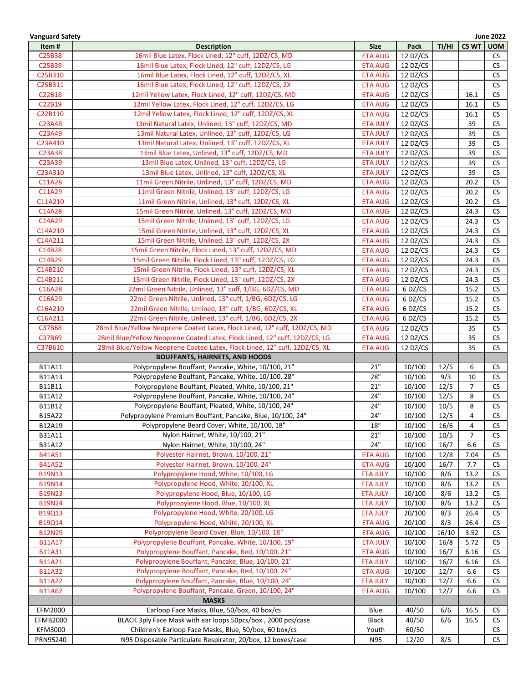| <b>Vanguard Safety</b> |                                                                             |                 |          |              |                     | <b>June 2022</b> |
|------------------------|-----------------------------------------------------------------------------|-----------------|----------|--------------|---------------------|------------------|
| Item#                  | <b>Description</b>                                                          | <b>Size</b>     | Pack     | TI/HI        | CS WT               | <b>UOM</b>       |
| C25B38                 | 16mil Blue Latex, Flock Lined, 12" cuff, 12DZ/CS, MD                        | <b>ETA AUG</b>  | 12 DZ/CS |              |                     | CS.              |
| C25B39                 | 16mil Blue Latex, Flock Lined, 12" cuff, 12DZ/CS, LG                        | <b>ETA AUG</b>  | 12 DZ/CS |              |                     | <b>CS</b>        |
| C25B310                | 16mil Blue Latex, Flock Lined, 12" cuff, 12DZ/CS, XL                        | <b>ETA AUG</b>  | 12 DZ/CS |              |                     | CS               |
| C25B311                | 16mil Blue Latex, Flock Lined, 12" cuff, 12DZ/CS, 2X                        | <b>ETA AUG</b>  | 12 DZ/CS |              |                     | <b>CS</b>        |
| C22B18                 | 12mil Yellow Latex, Flock Lined, 12" cuff, 12DZ/CS, MD                      | <b>ETA AUG</b>  | 12 DZ/CS |              | 16.1                | <b>CS</b>        |
| C22B19                 | 12mil Yellow Latex, Flock Lined, 12" cuff, 12DZ/CS, LG                      | <b>ETA AUG</b>  | 12 DZ/CS |              | 16.1                | CS               |
| C22B110                | 12mil Yellow Latex, Flock Lined, 12" cuff, 12DZ/CS, XL                      | <b>ETA AUG</b>  | 12 DZ/CS |              | 16.1                | <b>CS</b>        |
| C23A48                 | 13mil Natural Latex, Unlined, 13" cuff, 12DZ/CS, MD                         | <b>ETA JULY</b> | 12 DZ/CS |              | 39                  | <b>CS</b>        |
| C23A49                 | 13mil Natural Latex, Unlined, 13" cuff, 12DZ/CS, LG                         | <b>ETA JULY</b> | 12 DZ/CS |              | 39                  | <b>CS</b>        |
| C23A410                | 13mil Natural Latex, Unlined, 13" cuff, 12DZ/CS, XL                         | <b>ETA JULY</b> | 12 DZ/CS |              | 39                  | CS               |
| C23A38                 | 13mil Blue Latex, Unlined, 13" cuff, 12DZ/CS, MD                            | <b>ETA JULY</b> | 12 DZ/CS |              | 39                  | <b>CS</b>        |
| C23A39                 | 13mil Blue Latex, Unlined, 13" cuff, 12DZ/CS, LG                            | <b>ETA JULY</b> | 12 DZ/CS |              | 39                  | CS               |
| C23A310                | 13mil Blue Latex, Unlined, 13" cuff, 12DZ/CS, XL                            | <b>ETA JULY</b> | 12 DZ/CS |              | 39                  | <b>CS</b>        |
| C11A28                 | 11mil Green Nitrile, Unlined, 13" cuff, 12DZ/CS, MD                         | <b>ETA AUG</b>  | 12 DZ/CS |              | 20.2                | CS               |
| C11A29                 | 11mil Green Nitrile, Unlined, 13" cuff, 12DZ/CS, LG                         | <b>ETA AUG</b>  | 12 DZ/CS |              | 20.2                | <b>CS</b>        |
| C11A210                | 11mil Green Nitrile, Unlined, 13" cuff, 12DZ/CS, XL                         | <b>ETA AUG</b>  | 12 DZ/CS |              | 20.2                | <b>CS</b>        |
| C14A28                 | 15mil Green Nitrile, Unlined, 13" cuff, 12DZ/CS, MD                         | <b>ETA AUG</b>  | 12 DZ/CS |              | 24.3                | <b>CS</b>        |
| C14A29                 | 15mil Green Nitrile, Unlined, 13" cuff, 12DZ/CS, LG                         | <b>ETA AUG</b>  | 12 DZ/CS |              | 24.3                | CS               |
| C14A210                | 15mil Green Nitrile, Unlined, 13" cuff, 12DZ/CS, XL                         | <b>ETA AUG</b>  | 12 DZ/CS |              | 24.3                | <b>CS</b>        |
| C14A211                | 15mil Green Nitrile, Unlined, 13" cuff, 12DZ/CS, 2X                         | <b>ETA AUG</b>  | 12 DZ/CS |              | 24.3                | <b>CS</b>        |
| C14B28                 | 15mil Green Nitrile, Flock Lined, 13" cuff, 12DZ/CS, MD                     | <b>ETA AUG</b>  | 12 DZ/CS |              | 24.3                | CS               |
| C14B29                 | 15mil Green Nitrile, Flock Lined, 13" cuff, 12DZ/CS, LG                     | <b>ETA AUG</b>  | 12 DZ/CS |              | 24.3                | CS               |
| C14B210                | 15mil Green Nitrile, Flock Lined, 13" cuff, 12DZ/CS, XL                     | <b>ETA AUG</b>  | 12 DZ/CS |              | 24.3                | CS               |
| C14B211                | 15mil Green Nitrile, Flock Lined, 13" cuff, 12DZ/CS, 2X                     | <b>ETA AUG</b>  | 12 DZ/CS |              | 24.3                | <b>CS</b>        |
| C16A28                 | 22mil Green Nitrile, Unlined, 13" cuff, 1/BG, 6DZ/CS, MD                    | <b>ETA AUG</b>  | 6 DZ/CS  |              | 15.2                | <b>CS</b>        |
| C16A29                 | 22mil Green Nitrile, Unlined, 13" cuff, 1/BG, 6DZ/CS, LG                    | <b>ETA AUG</b>  | 6 DZ/CS  |              | 15.2                | <b>CS</b>        |
| C16A210                | 22mil Green Nitrile, Unlined, 13" cuff, 1/BG, 6DZ/CS, XL                    | <b>ETA AUG</b>  | 6 DZ/CS  |              | 15.2                | <b>CS</b>        |
| C16A211                | 22mil Green Nitrile, Unlined, 13" cuff, 1/BG, 6DZ/CS, 2X                    | <b>ETA AUG</b>  | 6 DZ/CS  |              | 15.2                | CS               |
| C37B68                 | 28mil Blue/Yellow Neoprene Coated Latex, Flock Lined, 12" cuff, 12DZ/CS, MD | ETA AUG         | 12 DZ/CS |              | 35                  | <b>CS</b>        |
| C37B69                 | 28mil Blue/Yellow Neoprene Coated Latex, Flock Lined, 12" cuff, 12DZ/CS, LG | <b>ETA AUG</b>  | 12 DZ/CS |              | 35                  | CS               |
| C37B610                | 28mil Blue/Yellow Neoprene Coated Latex, Flock Lined, 12" cuff, 12DZ/CS, XL | <b>ETA AUG</b>  | 12 DZ/CS |              | 35                  | CS               |
|                        | <b>BOUFFANTS, HAIRNETS, AND HOODS</b>                                       |                 |          |              |                     |                  |
| B11A11                 | Polypropylene Bouffant, Pancake, White, 10/100, 21"                         | 21"             | 10/100   | 12/5         | 6                   | CS               |
| B11A13                 | Polypropylene Bouffant, Pancake, White, 10/100, 28"                         | 28"             | 10/100   | 9/3          | 10                  | CS               |
| B11B11                 | Polypropylene Bouffant, Pleated, White, 10/100, 21"                         | 21"             | 10/100   | 12/5         | $\overline{7}$      | <b>CS</b>        |
| B11A12                 | Polypropylene Bouffant, Pancake, White, 10/100, 24"                         | 24"             | 10/100   | 12/5         | 8                   | <b>CS</b>        |
|                        |                                                                             | 24"             |          |              | 8                   | CS               |
| B11B12                 | Polypropylene Bouffant, Pleated, White, 10/100, 24"                         | 24"             | 10/100   | 10/5<br>12/5 | 4                   | ${\sf CS}$       |
| B15A22                 | Polypropylene Premium Bouffant, Pancake, Blue, 10/100, 24"                  | $18"$           | 10/100   |              |                     |                  |
| B12A19                 | Polypropylene Beard Cover, White, 10/100, 18"                               | 21"             | 10/100   | 16/6         | 4<br>$\overline{7}$ | CS               |
| B31A11                 | Nylon Hairnet, White, 10/100, 21"                                           | 24"             | 10/100   | 10/5         |                     | CS               |
| B31A12                 | Nylon Hairnet, White, 10/100, 24"                                           |                 | 10/100   | 16/7         | 6.6                 | <b>CS</b>        |
| <b>B41A51</b>          | Polyester Hairnet, Brown, 10/100, 21"                                       | <b>ETA AUG</b>  | 10/100   | 12/8         | 7.04                | <b>CS</b>        |
| <b>B41A52</b>          | Polyester Hairnet, Brown, 10/100, 24"                                       | <b>ETA AUG</b>  | 10/100   | 16/7         | 7.7                 | <b>CS</b>        |
| <b>B19N13</b>          | Polypropylene Hood, White, 10/100, LG                                       | <b>ETA JULY</b> | 10/100   | 8/6          | 13.2                | <b>CS</b>        |
| <b>B19N14</b>          | Polypropylene Hood, White, 10/100, XL                                       | <b>ETA JULY</b> | 10/100   | 8/6          | 13.2                | <b>CS</b>        |
| <b>B19N23</b>          | Polypropylene Hood, Blue, 10/100, LG                                        | <b>ETA JULY</b> | 10/100   | 8/6          | 13.2                | <b>CS</b>        |
| <b>B19N24</b>          | Polypropylene Hood, Blue, 10/100, XL                                        | <b>ETA JULY</b> | 10/100   | 8/6          | 13.2                | CS               |
| B19Q13                 | Polypropylene Hood, White, 20/100, LG                                       | <b>ETA JULY</b> | 20/100   | 8/3          | 26.4                | CS               |
| B19Q14                 | Polypropylene Hood, White, 20/100, XL                                       | <b>ETA AUG</b>  | 20/100   | 8/3          | 26.4                | <b>CS</b>        |
| <b>B12N29</b>          | Polypropylene Beard Cover, Blue, 10/100, 18"                                | <b>ETA AUG</b>  | 10/100   | 16/10        | 3.52                | <b>CS</b>        |
| <b>B11A17</b>          | Polypropylene Bouffant, Pancake, White, 10/100, 19"                         | <b>ETA JULY</b> | 10/100   | 16/8         | 5.72                | CS               |
| <b>B11A31</b>          | Polypropylene Bouffant, Pancake, Red, 10/100, 21"                           | <b>ETA AUG</b>  | 10/100   | 16/7         | 6.16                | <b>CS</b>        |
| <b>B11A21</b>          | Polypropylene Bouffant, Pancake, Blue, 10/100, 21"                          | <b>ETA JULY</b> | 10/100   | 16/7         | 6.16                | CS               |
| <b>B11A32</b>          | Polypropylene Bouffant, Pancake, Red, 10/100, 24"                           | <b>ETA AUG</b>  | 10/100   | 12/7         | 6.6                 | <b>CS</b>        |
| <b>B11A22</b>          | Polypropylene Bouffant, Pancake, Blue, 10/100, 24"                          | <b>ETA JULY</b> | 10/100   | 12/7         | 6.6                 | <b>CS</b>        |
| <b>B11A62</b>          | Polypropylene Bouffant, Pancake, Green, 10/100, 24"                         | <b>ETA AUG</b>  | 10/100   | 12/7         | 6.6                 | CS               |
|                        | <b>MASKS</b>                                                                |                 |          |              |                     |                  |
| EFM2000                | Earloop Face Masks, Blue, 50/box, 40 box/cs                                 | Blue            | 40/50    | 6/6          | 16.5                | <b>CS</b>        |
| <b>EFMB2000</b>        | BLACK 3ply Face Mask with ear loops 50pcs/box, 2000 pcs/case                | <b>Black</b>    | 40/50    | 6/6          | 16.5                | <b>CS</b>        |
| <b>KFM3000</b>         | Children's Earloop Face Masks, Blue, 50/box, 60 box/cs                      | Youth           | 60/50    |              |                     | <b>CS</b>        |
| PRN95240               | N95 Disposable Particulate Respirator, 20/box, 12 boxes/case                | N95             | 12/20    | 8/5          |                     | CS               |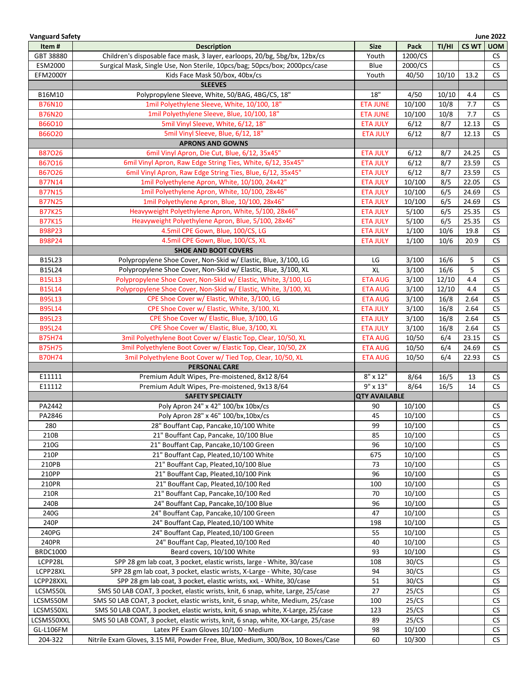| <b>Vanguard Safety</b> |                                                                                   |                      |         |       |              | <b>June 2022</b>     |
|------------------------|-----------------------------------------------------------------------------------|----------------------|---------|-------|--------------|----------------------|
| Item#                  | <b>Description</b>                                                                | <b>Size</b>          | Pack    | TI/HI | <b>CS WT</b> | <b>UOM</b>           |
| GBT 38880              | Children's disposable face mask, 3 layer, earloops, 20/bg, 5bg/bx, 12bx/cs        | Youth                | 1200/CS |       |              | CS                   |
| ESM2000                | Surgical Mask, Single Use, Non Sterile, 10pcs/bag; 50pcs/box; 2000pcs/case        | Blue                 | 2000/CS |       |              | <b>CS</b>            |
| <b>EFM2000Y</b>        | Kids Face Mask 50/box, 40bx/cs                                                    | Youth                | 40/50   | 10/10 | 13.2         | <b>CS</b>            |
|                        | <b>SLEEVES</b>                                                                    |                      |         |       |              |                      |
| B16M10                 | Polypropylene Sleeve, White, 50/BAG, 4BG/CS, 18"                                  | 18"                  | 4/50    | 10/10 | 4.4          | <b>CS</b>            |
| <b>B76N10</b>          | 1mil Polyethylene Sleeve, White, 10/100, 18"                                      | <b>ETA JUNE</b>      | 10/100  | 10/8  | 7.7          | <b>CS</b>            |
| <b>B76N20</b>          | 1mil Polyethylene Sleeve, Blue, 10/100, 18"                                       | <b>ETA JUNE</b>      | 10/100  | 10/8  | 7.7          | <b>CS</b>            |
| B66O10                 | 5mil Vinyl Sleeve, White, 6/12, 18"                                               | <b>ETA JULY</b>      | 6/12    | 8/7   | 12.13        | <b>CS</b>            |
| B66O20                 | 5mil Vinyl Sleeve, Blue, 6/12, 18"                                                | <b>ETA JULY</b>      | 6/12    | 8/7   | 12.13        | <b>CS</b>            |
|                        | <b>APRONS AND GOWNS</b>                                                           |                      |         |       |              |                      |
| <b>B87026</b>          | 6mil Vinyl Apron, Die Cut, Blue, 6/12, 35x45"                                     | <b>ETA JULY</b>      | 6/12    | 8/7   | 24.25        | <b>CS</b>            |
| B67016                 | 6mil Vinyl Apron, Raw Edge String Ties, White, 6/12, 35x45"                       | <b>ETA JULY</b>      | 6/12    | 8/7   | 23.59        | CS                   |
| B67026                 | 6mil Vinyl Apron, Raw Edge String Ties, Blue, 6/12, 35x45"                        | <b>ETA JULY</b>      | 6/12    | 8/7   | 23.59        | <b>CS</b>            |
| <b>B77N14</b>          | 1mil Polyethylene Apron, White, 10/100, 24x42"                                    | <b>ETA JULY</b>      | 10/100  | 8/5   | 22.05        | CS                   |
| <b>B77N15</b>          | 1mil Polyethylene Apron, White, 10/100, 28x46"                                    | <b>ETA JULY</b>      | 10/100  | 6/5   | 24.69        | CS                   |
| <b>B77N25</b>          | 1mil Polyethylene Apron, Blue, 10/100, 28x46"                                     | <b>ETA JULY</b>      | 10/100  | 6/5   | 24.69        | <b>CS</b>            |
| <b>B77K25</b>          | Heavyweight Polyethylene Apron, White, 5/100, 28x46"                              | <b>ETA JULY</b>      | 5/100   | 6/5   | 25.35        | <b>CS</b>            |
| <b>B77K15</b>          | Heavyweight Polyethylene Apron, Blue, 5/100, 28x46"                               | <b>ETA JULY</b>      | 5/100   | 6/5   | 25.35        | <b>CS</b>            |
| B98P23                 | 4.5mil CPE Gown, Blue, 100/CS, LG                                                 | <b>ETA JULY</b>      | 1/100   | 10/6  | 19.8         | CS                   |
| B98P24                 | 4.5mil CPE Gown, Blue, 100/CS, XL                                                 | <b>ETA JULY</b>      | 1/100   | 10/6  | 20.9         | <b>CS</b>            |
|                        | <b>SHOE AND BOOT COVERS</b>                                                       |                      |         |       |              |                      |
|                        |                                                                                   |                      |         |       |              |                      |
| B15L23                 | Polypropylene Shoe Cover, Non-Skid w/ Elastic, Blue, 3/100, LG                    | LG                   | 3/100   | 16/6  | 5            | CS.                  |
| B15L24                 | Polypropylene Shoe Cover, Non-Skid w/ Elastic, Blue, 3/100, XL                    | XL                   | 3/100   | 16/6  | 5            | CS.                  |
| <b>B15L13</b>          | Polypropylene Shoe Cover, Non-Skid w/ Elastic, White, 3/100, LG                   | <b>ETA AUG</b>       | 3/100   | 12/10 | 4.4          | <b>CS</b>            |
| <b>B15L14</b>          | Polypropylene Shoe Cover, Non-Skid w/ Elastic, White, 3/100, XL                   | <b>ETA AUG</b>       | 3/100   | 12/10 | 4.4          | <b>CS</b>            |
| <b>B95L13</b>          | CPE Shoe Cover w/ Elastic, White, 3/100, LG                                       | <b>ETA AUG</b>       | 3/100   | 16/8  | 2.64         | <b>CS</b>            |
| <b>B95L14</b>          | CPE Shoe Cover w/ Elastic, White, 3/100, XL                                       | <b>ETA JULY</b>      | 3/100   | 16/8  | 2.64         | CS                   |
| <b>B95L23</b>          | CPE Shoe Cover w/ Elastic, Blue, 3/100, LG                                        | <b>ETA JULY</b>      | 3/100   | 16/8  | 2.64         | $\mathsf{CS}\xspace$ |
| <b>B95L24</b>          | CPE Shoe Cover w/ Elastic, Blue, 3/100, XL                                        | <b>ETA JULY</b>      | 3/100   | 16/8  | 2.64         | $\mathsf{CS}\xspace$ |
| <b>B75H74</b>          | 3mil Polyethylene Boot Cover w/ Elastic Top, Clear, 10/50, XL                     | <b>ETA AUG</b>       | 10/50   | 6/4   | 23.15        | <b>CS</b>            |
| <b>B75H75</b>          | 3mil Polyethylene Boot Cover w/ Elastic Top, Clear, 10/50, 2X                     | <b>ETA AUG</b>       | 10/50   | 6/4   | 24.69        | <b>CS</b>            |
| <b>B70H74</b>          | 3mil Polyethylene Boot Cover w/ Tied Top, Clear, 10/50, XL                        | <b>ETA AUG</b>       | 10/50   | 6/4   | 22.93        | <b>CS</b>            |
|                        | <b>PERSONAL CARE</b>                                                              |                      |         |       |              |                      |
| E11111                 | Premium Adult Wipes, Pre-moistened, 8x12 8/64                                     | $8'' \times 12''$    | 8/64    | 16/5  | 13           | <b>CS</b>            |
| E11112                 | Premium Adult Wipes, Pre-moistened, 9x13 8/64                                     | $9'' \times 13''$    | 8/64    | 16/5  | 14           | CS                   |
|                        | <b>SAFETY SPECIALTY</b>                                                           | <b>QTY AVAILABLE</b> |         |       |              |                      |
| PA2442                 | Poly Apron 24" x 42" 100/bx 10bx/cs                                               | 90                   | 10/100  |       |              | CS                   |
| PA2846                 | Poly Apron 28" x 46" 100/bx, 10bx/cs                                              | 45                   | 10/100  |       |              | CS                   |
| 280                    | 28" Bouffant Cap, Pancake, 10/100 White                                           | 99                   | 10/100  |       |              | <b>CS</b>            |
| 210B                   | 21" Bouffant Cap, Pancake, 10/100 Blue                                            | 85                   | 10/100  |       |              | <b>CS</b>            |
| 210G                   | 21" Bouffant Cap, Pancake, 10/100 Green                                           | 96                   | 10/100  |       |              | CS                   |
| 210P                   | 21" Bouffant Cap, Pleated, 10/100 White                                           | 675                  | 10/100  |       |              | <b>CS</b>            |
| 210PB                  | 21" Bouffant Cap, Pleated, 10/100 Blue                                            | 73                   | 10/100  |       |              | <b>CS</b>            |
| 210PP                  | 21" Bouffant Cap, Pleated, 10/100 Pink                                            | 96                   | 10/100  |       |              | <b>CS</b>            |
| 210PR                  | 21" Bouffant Cap, Pleated, 10/100 Red                                             | 100                  | 10/100  |       |              | <b>CS</b>            |
| 210R                   | 21" Bouffant Cap, Pancake, 10/100 Red                                             | 70                   | 10/100  |       |              | <b>CS</b>            |
| 240B                   | 24" Bouffant Cap, Pancake, 10/100 Blue                                            | 96                   | 10/100  |       |              | <b>CS</b>            |
| 240G                   | 24" Bouffant Cap, Pancake, 10/100 Green                                           | 47                   | 10/100  |       |              | <b>CS</b>            |
| 240P                   | 24" Bouffant Cap, Pleated, 10/100 White                                           | 198                  | 10/100  |       |              | <b>CS</b>            |
| 240PG                  | 24" Bouffant Cap, Pleated, 10/100 Green                                           | 55                   | 10/100  |       |              | <b>CS</b>            |
| 240PR                  | 24" Bouffant Cap, Pleated, 10/100 Red                                             | 40                   | 10/100  |       |              | <b>CS</b>            |
| <b>BRDC1000</b>        | Beard covers, 10/100 White                                                        | 93                   | 10/100  |       |              | <b>CS</b>            |
| LCPP28L                | SPP 28 gm lab coat, 3 pocket, elastic wrists, large - White, 30/case              | 108                  | 30/CS   |       |              | <b>CS</b>            |
| LCPP28XL               | SPP 28 gm lab coat, 3 pocket, elastic wrists, X-Large - White, 30/case            | 94                   | 30/CS   |       |              | <b>CS</b>            |
| LCPP28XXL              | SPP 28 gm lab coat, 3 pocket, elastic wrists, xxL - White, 30/case                | 51                   | 30/CS   |       |              | <b>CS</b>            |
| LCSMS50L               | SMS 50 LAB COAT, 3 pocket, elastic wrists, knit, 6 snap, white, Large, 25/case    | 27                   | 25/CS   |       |              | <b>CS</b>            |
| LCSMS50M               | SMS 50 LAB COAT, 3 pocket, elastic wrists, knit, 6 snap, white, Medium, 25/case   | 100                  | 25/CS   |       |              | <b>CS</b>            |
| LCSMS50XL              | SMS 50 LAB COAT, 3 pocket, elastic wrists, knit, 6 snap, white, X-Large, 25/case  | 123                  | 25/CS   |       |              | <b>CS</b>            |
| LCSMS50XXL             | SMS 50 LAB COAT, 3 pocket, elastic wrists, knit, 6 snap, white, XX-Large, 25/case | 89                   | 25/CS   |       |              | CS                   |
| GL-L106FM              | Latex PF Exam Gloves 10/100 - Medium                                              | 98                   | 10/100  |       |              | <b>CS</b>            |
| 204-322                | Nitrile Exam Gloves, 3.15 Mil, Powder Free, Blue, Medium, 300/Box, 10 Boxes/Case  | 60                   | 10/300  |       |              | CS                   |
|                        |                                                                                   |                      |         |       |              |                      |